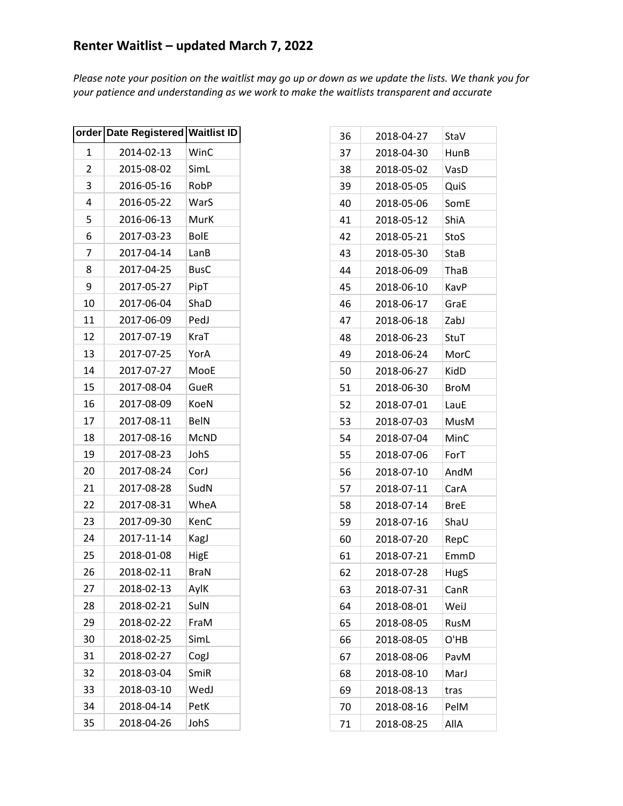|                | order Date Registered | <b>Waitlist ID</b> |
|----------------|-----------------------|--------------------|
| 1              | 2014-02-13            | WinC               |
| $\overline{c}$ | 2015-08-02            | SimL               |
| 3              | 2016-05-16            | RobP               |
| 4              | 2016-05-22            | WarS               |
| 5              | 2016-06-13            | MurK               |
| 6              | 2017-03-23            | <b>BolE</b>        |
| 7              | 2017-04-14            | LanB               |
| 8              | 2017-04-25            | <b>BusC</b>        |
| 9              | 2017-05-27            | PipT               |
| 10             | 2017-06-04            | ShaD               |
| 11             | 2017-06-09            | PedJ               |
| 12             | 2017-07-19            | KraT               |
| 13             | 2017-07-25            | YorA               |
| 14             | 2017-07-27            | MooE               |
| 15             | 2017-08-04            | GueR               |
| 16             | 2017-08-09            | KoeN               |
| 17             | 2017-08-11            | <b>BelN</b>        |
| 18             | 2017-08-16            | <b>McND</b>        |
| 19             | 2017-08-23            | JohS               |
| 20             | 2017-08-24            | CorJ               |
| 21             | 2017-08-28            | SudN               |
| 22             | 2017-08-31            | WheA               |
| 23             | 2017-09-30            | KenC               |
| 24             | 2017-11-14            | KagJ               |
| 25             | 2018-01-08            | HigE               |
| 26             | 2018-02-11            | <b>BraN</b>        |
| 27             | 2018-02-13            | AylK               |
| 28             | 2018-02-21            | SulN               |
| 29             | 2018-02-22            | FraM               |
| 30             | 2018-02-25            | SimL               |
| 31             | 2018-02-27            | CogJ               |
| 32             | 2018-03-04            | SmiR               |
| 33             | 2018-03-10            | WedJ               |
| 34             | 2018-04-14            | PetK               |
| 35             | 2018-04-26            | JohS               |

| 36 | 2018-04-27 | StaV        |
|----|------------|-------------|
| 37 | 2018-04-30 | HunB        |
| 38 | 2018-05-02 | VasD        |
| 39 | 2018-05-05 | QuiS        |
| 40 | 2018-05-06 | SomE        |
| 41 | 2018-05-12 | ShiA        |
| 42 | 2018-05-21 | StoS        |
| 43 | 2018-05-30 | StaB        |
| 44 | 2018-06-09 | ThaB        |
| 45 | 2018-06-10 | KavP        |
| 46 | 2018-06-17 | GraE        |
| 47 | 2018-06-18 | ZabJ        |
| 48 | 2018-06-23 | StuT        |
| 49 | 2018-06-24 | MorC        |
| 50 | 2018-06-27 | KidD        |
| 51 | 2018-06-30 | BroM        |
| 52 | 2018-07-01 | LauE        |
| 53 | 2018-07-03 | MusM        |
| 54 | 2018-07-04 | MinC        |
| 55 | 2018-07-06 | ForT        |
| 56 | 2018-07-10 | AndM        |
| 57 | 2018-07-11 | CarA        |
| 58 | 2018-07-14 | <b>BreE</b> |
| 59 | 2018-07-16 | ShaU        |
| 60 | 2018-07-20 | RepC        |
| 61 | 2018-07-21 | EmmD        |
| 62 | 2018-07-28 | HugS        |
| 63 | 2018-07-31 | CanR        |
| 64 | 2018-08-01 | WeiJ        |
| 65 | 2018-08-05 | RusM        |
| 66 | 2018-08-05 | O'HB        |
| 67 | 2018-08-06 | PavM        |
| 68 | 2018-08-10 | MarJ        |
| 69 | 2018-08-13 | tras        |
| 70 | 2018-08-16 | PelM        |
| 71 | 2018-08-25 | Alla        |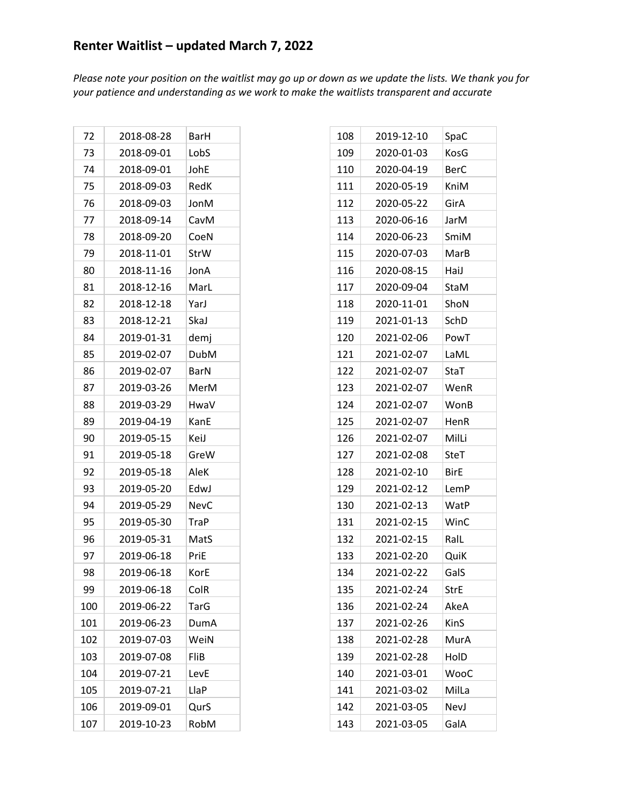| 72  | 2018-08-28 | BarH        |
|-----|------------|-------------|
| 73  | 2018-09-01 | LobS        |
| 74  | 2018-09-01 | JohE        |
| 75  | 2018-09-03 | RedK        |
| 76  | 2018-09-03 | JonM        |
| 77  | 2018-09-14 | CavM        |
| 78  | 2018-09-20 | CoeN        |
| 79  | 2018-11-01 | StrW        |
| 80  | 2018-11-16 | JonA        |
| 81  | 2018-12-16 | MarL        |
| 82  | 2018-12-18 | YarJ        |
| 83  | 2018-12-21 | SkaJ        |
| 84  | 2019-01-31 | demj        |
| 85  | 2019-02-07 | DubM        |
| 86  | 2019-02-07 | BarN        |
| 87  | 2019-03-26 | MerM        |
| 88  | 2019-03-29 | HwaV        |
| 89  | 2019-04-19 | KanE        |
| 90  | 2019-05-15 | KeiJ        |
| 91  | 2019-05-18 | GreW        |
| 92  | 2019-05-18 | AleK        |
| 93  | 2019-05-20 | EdwJ        |
| 94  | 2019-05-29 | <b>NevC</b> |
| 95  | 2019-05-30 | TraP        |
| 96  | 2019-05-31 | MatS        |
| 97  | 2019-06-18 | PriE        |
| 98  | 2019-06-18 | KorE        |
| 99  | 2019-06-18 | ColR        |
| 100 | 2019-06-22 | TarG        |
| 101 | 2019-06-23 | DumA        |
| 102 | 2019-07-03 | WeiN        |
| 103 | 2019-07-08 | FliB        |
| 104 | 2019-07-21 | LevE        |
| 105 | 2019-07-21 | LlaP        |
| 106 | 2019-09-01 | QurS        |
| 107 | 2019-10-23 | RobM        |

| 108 | 2019-12-10 | SpaC        |
|-----|------------|-------------|
| 109 | 2020-01-03 | KosG        |
| 110 | 2020-04-19 | <b>BerC</b> |
| 111 | 2020-05-19 | KniM        |
| 112 | 2020-05-22 | GirA        |
| 113 | 2020-06-16 | JarM        |
| 114 | 2020-06-23 | SmiM        |
| 115 | 2020-07-03 | MarB        |
| 116 | 2020-08-15 | HaiJ        |
| 117 | 2020-09-04 | StaM        |
| 118 | 2020-11-01 | ShoN        |
| 119 | 2021-01-13 | SchD        |
| 120 | 2021-02-06 | PowT        |
| 121 | 2021-02-07 | LaML        |
| 122 | 2021-02-07 | StaT        |
| 123 | 2021-02-07 | WenR        |
| 124 | 2021-02-07 | WonB        |
| 125 | 2021-02-07 | HenR        |
| 126 | 2021-02-07 | MilLi       |
| 127 | 2021-02-08 | SteT        |
| 128 | 2021-02-10 | <b>BirE</b> |
| 129 | 2021-02-12 | LemP        |
| 130 | 2021-02-13 | WatP        |
| 131 | 2021-02-15 | WinC        |
| 132 | 2021-02-15 | RalL        |
| 133 | 2021-02-20 | QuiK        |
| 134 | 2021-02-22 | GalS        |
| 135 | 2021-02-24 | <b>StrE</b> |
| 136 | 2021-02-24 | AkeA        |
| 137 | 2021-02-26 | KinS        |
| 138 | 2021-02-28 | MurA        |
| 139 | 2021-02-28 | HolD        |
| 140 | 2021-03-01 | WooC        |
| 141 | 2021-03-02 | MilLa       |
| 142 | 2021-03-05 | NevJ        |
| 143 | 2021-03-05 | GalA        |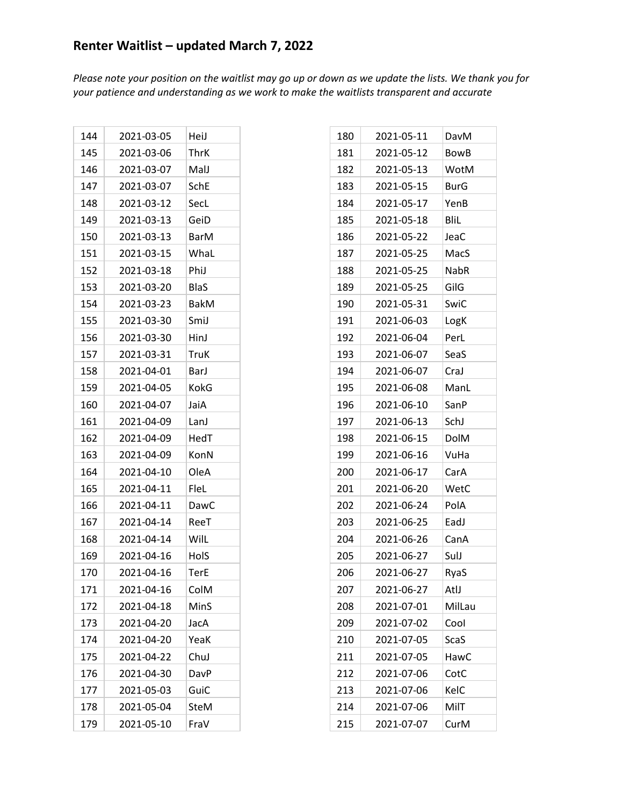| 144 | 2021-03-05 | HeiJ        |
|-----|------------|-------------|
| 145 | 2021-03-06 | ThrK        |
| 146 | 2021-03-07 | MalJ        |
| 147 | 2021-03-07 | SchE        |
| 148 | 2021-03-12 | SecL        |
| 149 | 2021-03-13 | GeiD        |
| 150 | 2021-03-13 | <b>BarM</b> |
| 151 | 2021-03-15 | WhaL        |
| 152 | 2021-03-18 | Phil        |
| 153 | 2021-03-20 | <b>BlaS</b> |
| 154 | 2021-03-23 | <b>BakM</b> |
| 155 | 2021-03-30 | SmiJ        |
| 156 | 2021-03-30 | HinJ        |
| 157 | 2021-03-31 | TruK        |
| 158 | 2021-04-01 | Barl        |
| 159 | 2021-04-05 | KokG        |
| 160 | 2021-04-07 | JaiA        |
| 161 | 2021-04-09 | LanJ        |
| 162 | 2021-04-09 | HedT        |
| 163 | 2021-04-09 | KonN        |
| 164 | 2021-04-10 | OleA        |
| 165 | 2021-04-11 | FleL        |
| 166 | 2021-04-11 | DawC        |
| 167 | 2021-04-14 | ReeT        |
| 168 | 2021-04-14 | WilL        |
| 169 | 2021-04-16 | HolS        |
| 170 | 2021-04-16 | TerE        |
| 171 | 2021-04-16 | ColM        |
| 172 | 2021-04-18 | MinS        |
| 173 | 2021-04-20 | JacA        |
| 174 | 2021-04-20 | YeaK        |
| 175 | 2021-04-22 | ChuJ        |
| 176 | 2021-04-30 | DavP        |
| 177 | 2021-05-03 | GuiC        |
| 178 | 2021-05-04 | <b>SteM</b> |
| 179 | 2021-05-10 | FraV        |

| 180 | 2021-05-11 | DavM        |
|-----|------------|-------------|
| 181 | 2021-05-12 | <b>BowB</b> |
| 182 | 2021-05-13 | WotM        |
| 183 | 2021-05-15 | <b>BurG</b> |
| 184 | 2021-05-17 | YenB        |
| 185 | 2021-05-18 | Blil        |
| 186 | 2021-05-22 | JeaC        |
| 187 | 2021-05-25 | MacS        |
| 188 | 2021-05-25 | <b>NabR</b> |
| 189 | 2021-05-25 | GilG        |
| 190 | 2021-05-31 | SwiC        |
| 191 | 2021-06-03 | LogK        |
| 192 | 2021-06-04 | PerL        |
| 193 | 2021-06-07 | SeaS        |
| 194 | 2021-06-07 | CraJ        |
| 195 | 2021-06-08 | ManL        |
| 196 | 2021-06-10 | SanP        |
| 197 | 2021-06-13 | SchJ        |
| 198 | 2021-06-15 | <b>DolM</b> |
| 199 | 2021-06-16 | VuHa        |
| 200 | 2021-06-17 | CarA        |
| 201 | 2021-06-20 | WetC        |
| 202 | 2021-06-24 | PolA        |
| 203 | 2021-06-25 | EadJ        |
| 204 | 2021-06-26 | CanA        |
| 205 | 2021-06-27 | SulJ        |
| 206 | 2021-06-27 | RyaS        |
| 207 | 2021-06-27 | AtlJ        |
| 208 | 2021-07-01 | MilLau      |
| 209 | 2021-07-02 | Cool        |
| 210 | 2021-07-05 | <b>ScaS</b> |
| 211 | 2021-07-05 | HawC        |
| 212 | 2021-07-06 | CotC        |
| 213 | 2021-07-06 | KelC        |
| 214 | 2021-07-06 | MilT        |
| 215 | 2021-07-07 | CurM        |